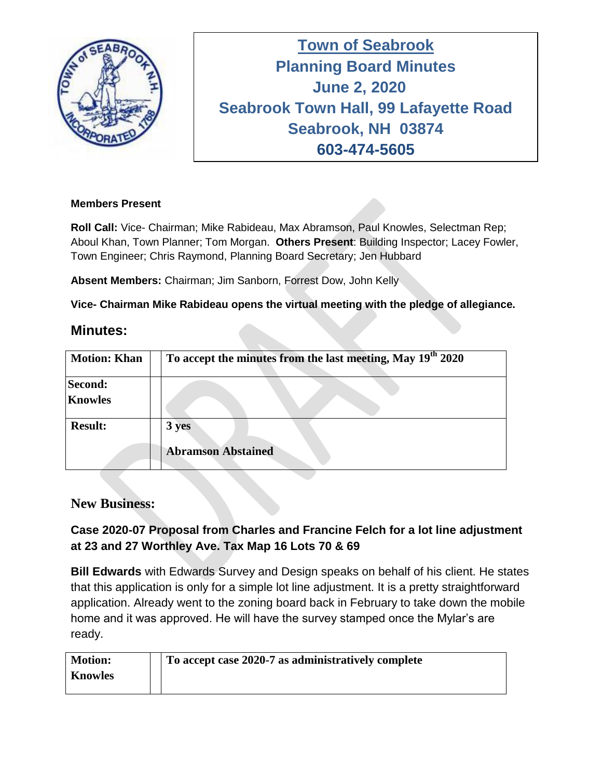

**Town of Seabrook Planning Board Minutes Tuesday April 16, 2019 June 2, 2020 Seabrook Town Hall, 99 Lafayette Road Seabrook, NH 03874 603-474-5605**

## **Members Present**

**Roll Call:** Vice- Chairman; Mike Rabideau, Max Abramson, Paul Knowles, Selectman Rep; Aboul Khan, Town Planner; Tom Morgan. **Others Present**: Building Inspector; Lacey Fowler, Town Engineer; Chris Raymond, Planning Board Secretary; Jen Hubbard

**Absent Members:** Chairman; Jim Sanborn, Forrest Dow, John Kelly

**Vice- Chairman Mike Rabideau opens the virtual meeting with the pledge of allegiance.** 

## **Minutes:**

| <b>Motion: Khan</b> | To accept the minutes from the last meeting, May 19 <sup>th</sup> 2020 |
|---------------------|------------------------------------------------------------------------|
| Second:             |                                                                        |
| <b>Knowles</b>      |                                                                        |
| <b>Result:</b>      | 3 yes                                                                  |
|                     | <b>Abramson Abstained</b>                                              |

## **New Business:**

## **Case 2020-07 Proposal from Charles and Francine Felch for a lot line adjustment at 23 and 27 Worthley Ave. Tax Map 16 Lots 70 & 69**

**Bill Edwards** with Edwards Survey and Design speaks on behalf of his client. He states that this application is only for a simple lot line adjustment. It is a pretty straightforward application. Already went to the zoning board back in February to take down the mobile home and it was approved. He will have the survey stamped once the Mylar's are ready.

| <b>Motion:</b> | To accept case 2020-7 as administratively complete |
|----------------|----------------------------------------------------|
| <b>Knowles</b> |                                                    |
|                |                                                    |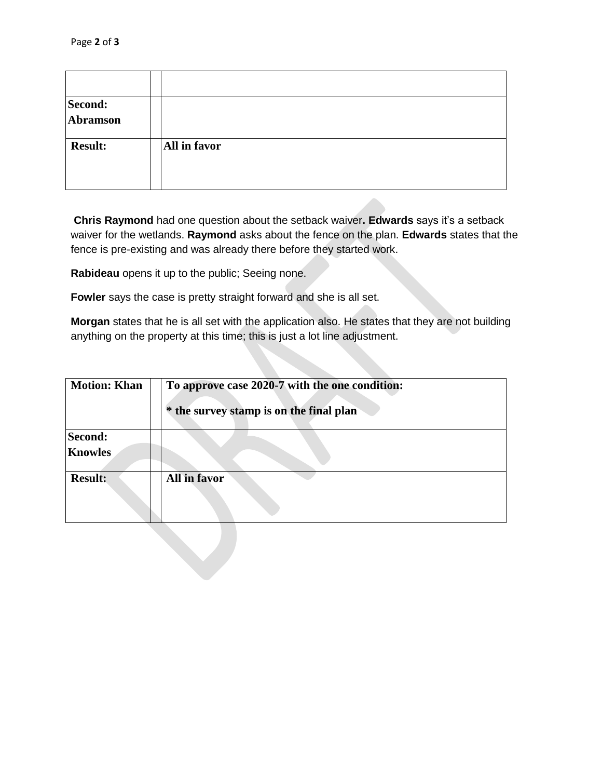| Second:<br>Abramson |              |
|---------------------|--------------|
| <b>Result:</b>      | All in favor |

**Chris Raymond** had one question about the setback waiver**. Edwards** says it's a setback waiver for the wetlands. **Raymond** asks about the fence on the plan. **Edwards** states that the fence is pre-existing and was already there before they started work.

**Rabideau** opens it up to the public; Seeing none.

**Fowler** says the case is pretty straight forward and she is all set.

**Morgan** states that he is all set with the application also. He states that they are not building anything on the property at this time; this is just a lot line adjustment.

| <b>Motion: Khan</b>       | To approve case 2020-7 with the one condition:<br>* the survey stamp is on the final plan |
|---------------------------|-------------------------------------------------------------------------------------------|
| Second:<br><b>Knowles</b> |                                                                                           |
| <b>Result:</b>            | All in favor                                                                              |